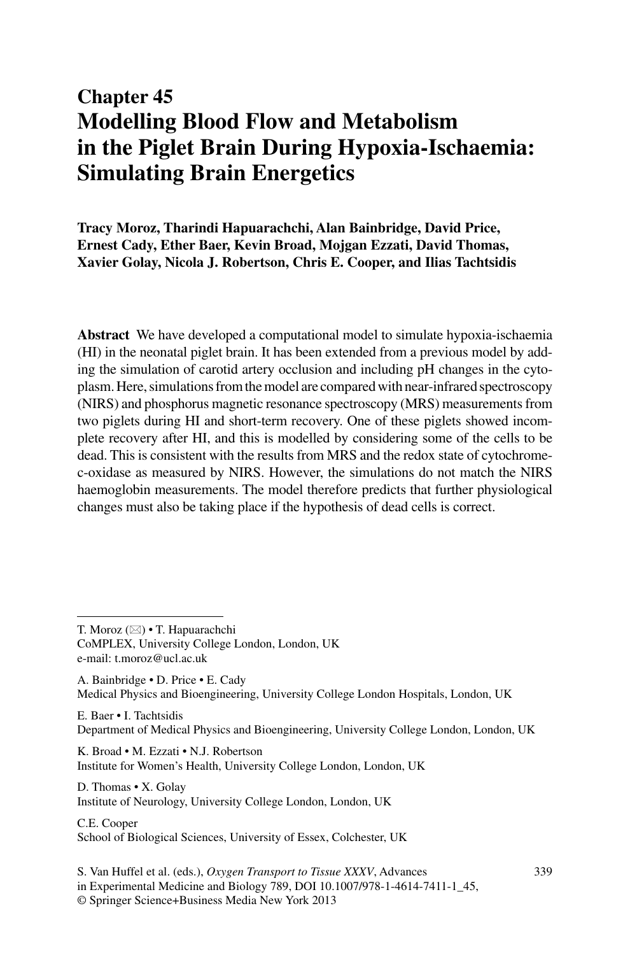# **Chapter 45 Modelling Blood Flow and Metabolism in the Piglet Brain During Hypoxia-Ischaemia: Simulating Brain Energetics**

**Tracy Moroz, Tharindi Hapuarachchi, Alan Bainbridge, David Price, Ernest Cady, Ether Baer, Kevin Broad, Mojgan Ezzati, David Thomas, Xavier Golay, Nicola J. Robertson, Chris E. Cooper, and Ilias Tachtsidis**

**Abstract** We have developed a computational model to simulate hypoxia-ischaemia (HI) in the neonatal piglet brain. It has been extended from a previous model by adding the simulation of carotid artery occlusion and including pH changes in the cytoplasm. Here, simulations from the model are compared with near-infrared spectroscopy (NIRS) and phosphorus magnetic resonance spectroscopy (MRS) measurements from two piglets during HI and short-term recovery. One of these piglets showed incomplete recovery after HI, and this is modelled by considering some of the cells to be dead. This is consistent with the results from MRS and the redox state of cytochromec-oxidase as measured by NIRS. However, the simulations do not match the NIRS haemoglobin measurements. The model therefore predicts that further physiological changes must also be taking place if the hypothesis of dead cells is correct.

A. Bainbridge • D. Price • E. Cady Medical Physics and Bioengineering, University College London Hospitals, London, UK

E. Baer • I. Tachtsidis Department of Medical Physics and Bioengineering, University College London, London, UK

K. Broad • M. Ezzati • N.J. Robertson Institute for Women's Health, University College London, London, UK

D. Thomas • X. Golay Institute of Neurology, University College London, London, UK

C.E. Cooper School of Biological Sciences, University of Essex, Colchester, UK

S. Van Huffel et al. (eds.), *Oxygen Transport to Tissue XXXV*, Advances 339 in Experimental Medicine and Biology 789, DOI 10.1007/978-1-4614-7411-1\_45, © Springer Science+Business Media New York 2013

T. Moroz (⊠) • T. Hapuarachchi

CoMPLEX, University College London, London, UK e-mail: t.moroz@ucl.ac.uk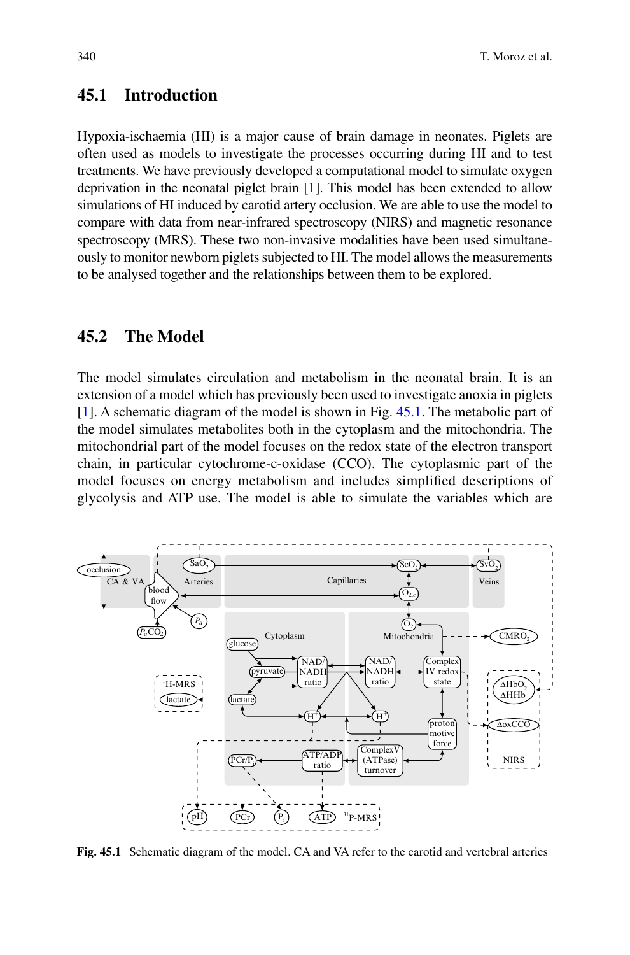## **45.1 Introduction**

Hypoxia-ischaemia (HI) is a major cause of brain damage in neonates. Piglets are often used as models to investigate the processes occurring during HI and to test treatments. We have previously developed a computational model to simulate oxygen deprivation in the neonatal piglet brain [\[1\]](#page-5-0). This model has been extended to allow simulations of HI induced by carotid artery occlusion. We are able to use the model to compare with data from near-infrared spectroscopy (NIRS) and magnetic resonance spectroscopy (MRS). These two non-invasive modalities have been used simultaneously to monitor newborn piglets subjected to HI. The model allows the measurements to be analysed together and the relationships between them to be explored.

## **45.2 The Model**

The model simulates circulation and metabolism in the neonatal brain. It is an extension of a model which has previously been used to investigate anoxia in piglets [\[1](#page-5-0)]. A schematic diagram of the model is shown in Fig. [45.1](#page-1-0). The metabolic part of the model simulates metabolites both in the cytoplasm and the mitochondria. The mitochondrial part of the model focuses on the redox state of the electron transport chain, in particular cytochrome-c-oxidase (CCO). The cytoplasmic part of the model focuses on energy metabolism and includes simplified descriptions of glycolysis and ATP use. The model is able to simulate the variables which are

<span id="page-1-0"></span>

**Fig. 45.1** Schematic diagram of the model. CA and VA refer to the carotid and vertebral arteries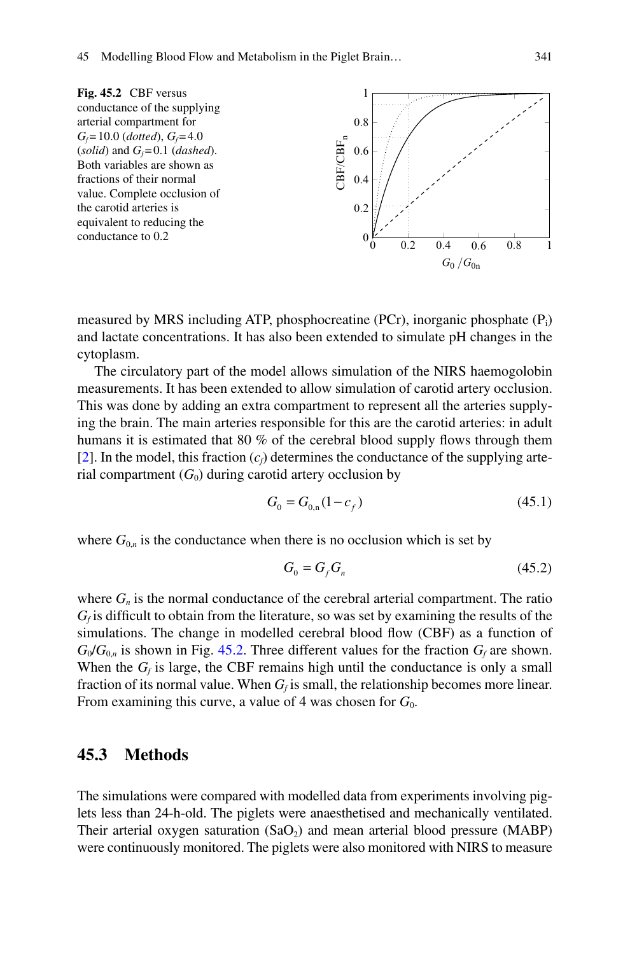<span id="page-2-0"></span>

measured by MRS including ATP, phosphocreatine (PCr), inorganic phosphate  $(P_i)$ and lactate concentrations. It has also been extended to simulate pH changes in the cytoplasm.

The circulatory part of the model allows simulation of the NIRS haemogolobin measurements. It has been extended to allow simulation of carotid artery occlusion. This was done by adding an extra compartment to represent all the arteries supplying the brain. The main arteries responsible for this are the carotid arteries: in adult humans it is estimated that 80 % of the cerebral blood supply flows through them [\[2](#page-5-1)]. In the model, this fraction  $(c_f)$  determines the conductance of the supplying arterial compartment  $(G_0)$  during carotid artery occlusion by

$$
G_0 = G_{0,n}(1 - c_f) \tag{45.1}
$$

where  $G_{0n}$  is the conductance when there is no occlusion which is set by

$$
G_0 = G_f G_n \tag{45.2}
$$

where  $G_n$  is the normal conductance of the cerebral arterial compartment. The ratio  $G_f$  is difficult to obtain from the literature, so was set by examining the results of the simulations. The change in modelled cerebral blood flow (CBF) as a function of  $G_0/G_{0,n}$  is shown in Fig. [45.2.](#page-2-0) Three different values for the fraction  $G_f$  are shown. When the  $G_f$  is large, the CBF remains high until the conductance is only a small fraction of its normal value. When  $G_f$  is small, the relationship becomes more linear. From examining this curve, a value of 4 was chosen for  $G_0$ .

### **45.3 Methods**

The simulations were compared with modelled data from experiments involving piglets less than 24-h-old. The piglets were anaesthetised and mechanically ventilated. Their arterial oxygen saturation  $(SaO<sub>2</sub>)$  and mean arterial blood pressure  $(MABP)$ were continuously monitored. The piglets were also monitored with NIRS to measure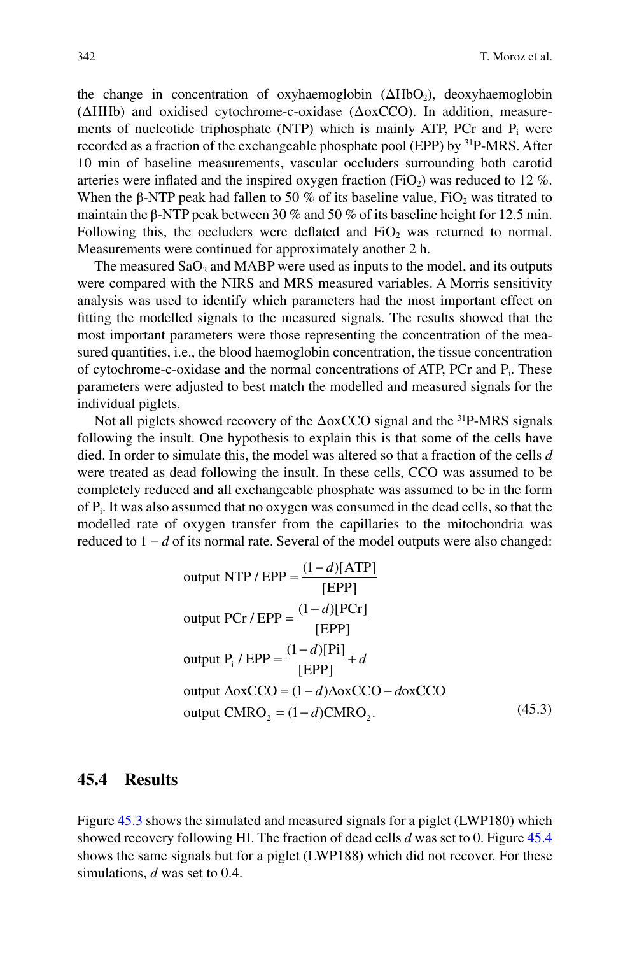the change in concentration of oxyhaemoglobin  $(\Delta HbO_2)$ , deoxyhaemoglobin (ΔHHb) and oxidised cytochrome-c-oxidase (ΔoxCCO). In addition, measurements of nucleotide triphosphate (NTP) which is mainly ATP, PCr and  $P_i$  were recorded as a fraction of the exchangeable phosphate pool (EPP) by 31P-MRS. After 10 min of baseline measurements, vascular occluders surrounding both carotid arteries were inflated and the inspired oxygen fraction (FiO<sub>2</sub>) was reduced to 12 %. When the β-NTP peak had fallen to 50 % of its baseline value, FiO<sub>2</sub> was titrated to maintain the β-NTP peak between 30 % and 50 % of its baseline height for 12.5 min. Following this, the occluders were deflated and  $FiO<sub>2</sub>$  was returned to normal. Measurements were continued for approximately another 2 h.

The measured  $SaO<sub>2</sub>$  and MABP were used as inputs to the model, and its outputs were compared with the NIRS and MRS measured variables. A Morris sensitivity analysis was used to identify which parameters had the most important effect on fitting the modelled signals to the measured signals. The results showed that the most important parameters were those representing the concentration of the measured quantities, i.e., the blood haemoglobin concentration, the tissue concentration of cytochrome-c-oxidase and the normal concentrations of ATP, PCr and Pi. These parameters were adjusted to best match the modelled and measured signals for the individual piglets.

Not all piglets showed recovery of the  $\triangle$ oxCCO signal and the <sup>31</sup>P-MRS signals following the insult. One hypothesis to explain this is that some of the cells have died. In order to simulate this, the model was altered so that a fraction of the cells *d* were treated as dead following the insult. In these cells, CCO was assumed to be completely reduced and all exchangeable phosphate was assumed to be in the form of Pi. It was also assumed that no oxygen was consumed in the dead cells, so that the modelled rate of oxygen transfer from the capillaries to the mitochondria was reduced to 1 − *d* of its normal rate. Several of the model outputs were also changed:

output NTP / EPP = 
$$
\frac{(1-d)[ATP]}{[EPP]}
$$
  
output PCr / EPP = 
$$
\frac{(1-d)[PCr]}{[EPP]}
$$
  
output P<sub>i</sub> / EPP = 
$$
\frac{(1-d)[Pi]}{[EPP]} + d
$$
  
output 
$$
\Delta
$$
oxCCO = 
$$
(1-d)\Delta
$$
oxCCO – 
$$
d
$$
oxCCO output CMRO<sub>2</sub> = 
$$
(1-d)CMRO_2
$$
. (45.3)

#### **45.4 Results**

Figure [45.3](#page-4-0) shows the simulated and measured signals for a piglet (LWP180) which showed recovery following HI. The fraction of dead cells *d* was set to 0. Figure [45.4](#page-4-1) shows the same signals but for a piglet (LWP188) which did not recover. For these simulations, *d* was set to 0.4.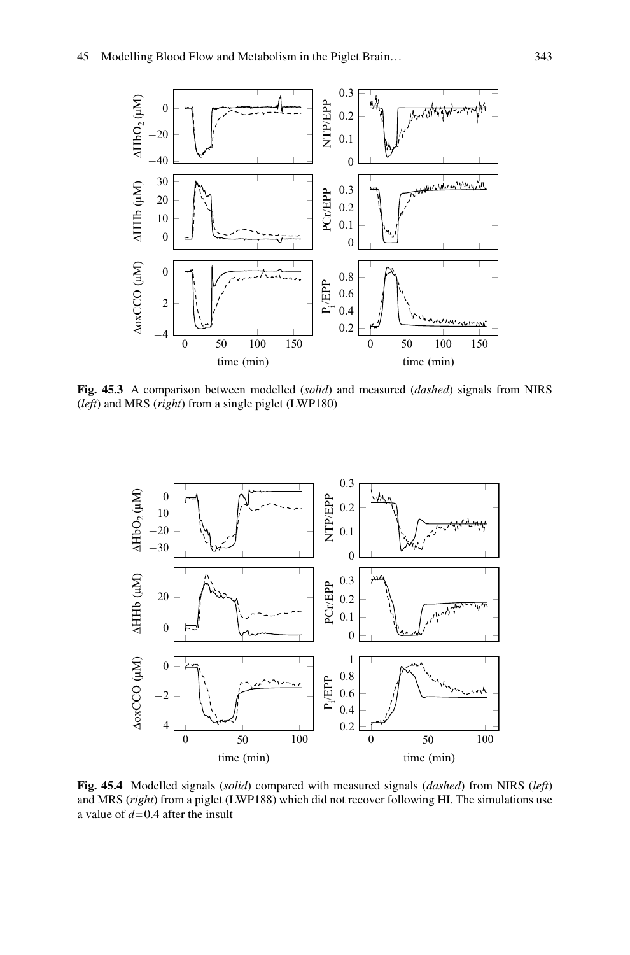<span id="page-4-0"></span>

**Fig. 45.3** A comparison between modelled (*solid*) and measured (*dashed*) signals from NIRS (*left*) and MRS (*right*) from a single piglet (LWP180)

<span id="page-4-1"></span>

**Fig. 45.4** Modelled signals (*solid*) compared with measured signals (*dashed*) from NIRS (*left*) and MRS (*right*) from a piglet (LWP188) which did not recover following HI. The simulations use a value of *d*=0.4 after the insult